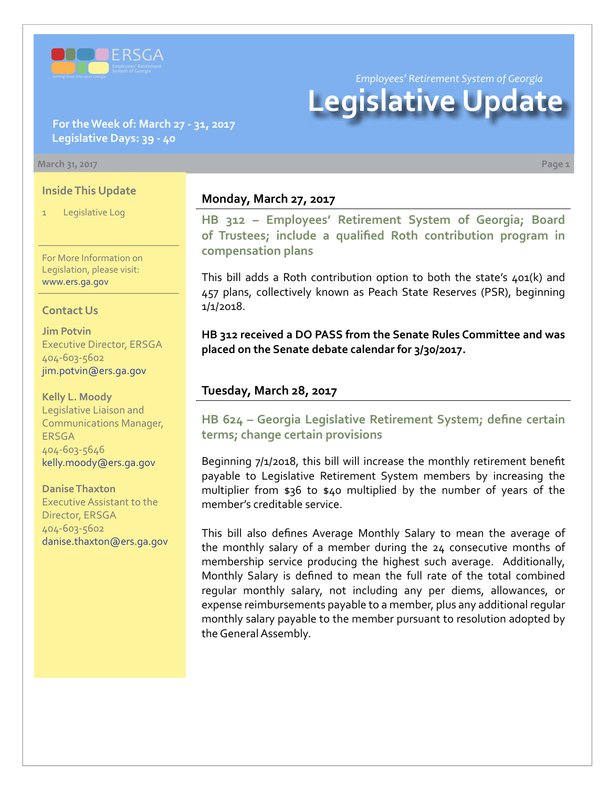

*Employees' Retirement System of Georgia*

# **Legislative Update**

#### **For the Week of: March 27 - 31, 2017 Legislative Days: 39 - 40**

#### **March 31, 2017 Page 1**

#### **Inside This Update**

Legislative Log

For More Information on Legislation, please visit: [www.ers.ga.gov](http://www.ers.ga.gov/default.aspx)

#### **Contact Us**

**Jim Potvin** Executive Director, ERSGA 404-603-5602 jim.potvin@ers.ga.gov

**Kelly L. Moody** Legislative Liaison and Communications Manager, **ERSGA** 404-603-5646 kelly.moody@ers.ga.gov

#### **Danise Thaxton**

Executive Assistant to the Director, ERSGA 404-603-5602 danise.thaxton@ers.ga.gov

#### **Monday, March 27, 2017**

**HB 312 [–](http://www.legis.ga.gov/Legislation/20172018/164532.pdf) [Employees' Retirement System of Georgia; Board](http://www.legis.ga.gov/Legislation/20172018/164841.pdf) [of Trustees; include a qualified Roth contribution program in](http://www.legis.ga.gov/Legislation/20172018/164841.pdf) [compensation plans](http://www.legis.ga.gov/Legislation/20172018/164841.pdf)**

This bill adds a Roth contribution option to both the state's 401(k) and 457 plans, collectively known as Peach State Reserves (PSR), beginning 1/1/2018.

**HB 312 received a DO PASS from the Senate Rules Committee and was placed on the Senate debate calendar for 3/30/2017.** 

#### **Tuesday, March 28, 2017**

## **HB 62[4 – G](http://www.legis.ga.gov/legislation/en-US/Display/20172018/HB/624)eorgia Legislative Retirement System; define certain terms; change certain provisions**

Beginning 7/1/2018, this bill will increase the monthly retirement benefit payable to Legislative Retirement System members by increasing the multiplier from \$36 to \$40 multiplied by the number of years of the member's creditable service.

This bill also defines Average Monthly Salary to mean the average of the monthly salary of a member during the 24 consecutive months of membership service producing the highest such average. Additionally, Monthly Salary is defined to mean the full rate of the total combined regular monthly salary, not including any per diems, allowances, or expense reimbursements payable to a member, plus any additional regular monthly salary payable to the member pursuant to resolution adopted by the General Assembly.